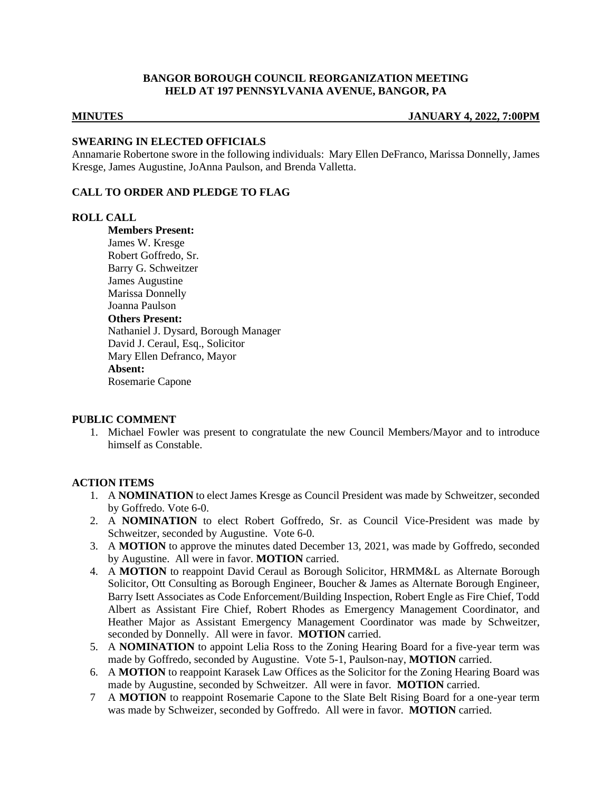## **BANGOR BOROUGH COUNCIL REORGANIZATION MEETING HELD AT 197 PENNSYLVANIA AVENUE, BANGOR, PA**

#### **MINUTES JANUARY 4, 2022, 7:00PM**

### **SWEARING IN ELECTED OFFICIALS**

Annamarie Robertone swore in the following individuals: Mary Ellen DeFranco, Marissa Donnelly, James Kresge, James Augustine, JoAnna Paulson, and Brenda Valletta.

# **CALL TO ORDER AND PLEDGE TO FLAG**

#### **ROLL CALL**

**Members Present:** James W. Kresge Robert Goffredo, Sr. Barry G. Schweitzer James Augustine Marissa Donnelly Joanna Paulson **Others Present:** Nathaniel J. Dysard, Borough Manager David J. Ceraul, Esq., Solicitor Mary Ellen Defranco, Mayor **Absent:** Rosemarie Capone

#### **PUBLIC COMMENT**

1. Michael Fowler was present to congratulate the new Council Members/Mayor and to introduce himself as Constable.

#### **ACTION ITEMS**

- 1. A **NOMINATION** to elect James Kresge as Council President was made by Schweitzer, seconded by Goffredo. Vote 6-0.
- 2. A **NOMINATION** to elect Robert Goffredo, Sr. as Council Vice-President was made by Schweitzer, seconded by Augustine. Vote 6-0.
- 3. A **MOTION** to approve the minutes dated December 13, 2021, was made by Goffredo, seconded by Augustine. All were in favor. **MOTION** carried.
- 4. A **MOTION** to reappoint David Ceraul as Borough Solicitor, HRMM&L as Alternate Borough Solicitor, Ott Consulting as Borough Engineer, Boucher & James as Alternate Borough Engineer, Barry Isett Associates as Code Enforcement/Building Inspection, Robert Engle as Fire Chief, Todd Albert as Assistant Fire Chief, Robert Rhodes as Emergency Management Coordinator, and Heather Major as Assistant Emergency Management Coordinator was made by Schweitzer, seconded by Donnelly. All were in favor. **MOTION** carried.
- 5. A **NOMINATION** to appoint Lelia Ross to the Zoning Hearing Board for a five-year term was made by Goffredo, seconded by Augustine. Vote 5-1, Paulson-nay, **MOTION** carried.
- 6. A **MOTION** to reappoint Karasek Law Offices as the Solicitor for the Zoning Hearing Board was made by Augustine, seconded by Schweitzer. All were in favor. **MOTION** carried.
- 7 A **MOTION** to reappoint Rosemarie Capone to the Slate Belt Rising Board for a one-year term was made by Schweizer, seconded by Goffredo. All were in favor. **MOTION** carried.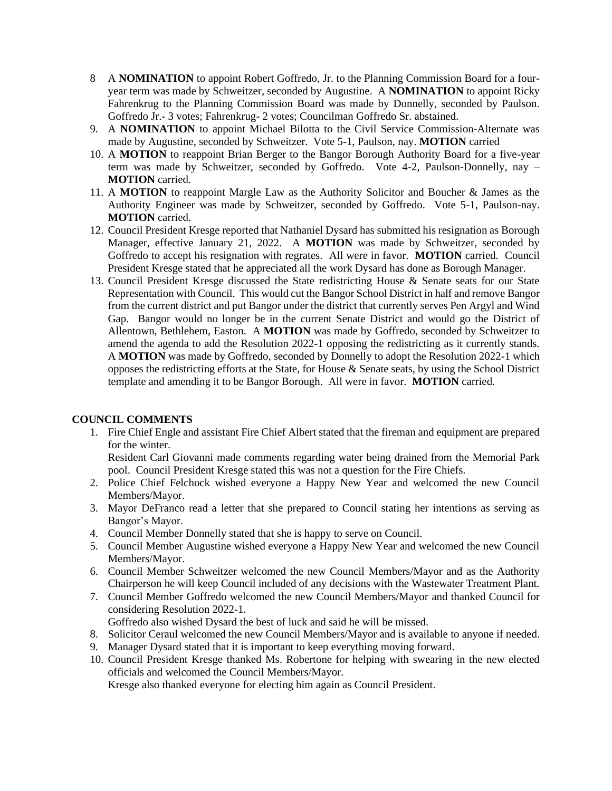- 8 A **NOMINATION** to appoint Robert Goffredo, Jr. to the Planning Commission Board for a fouryear term was made by Schweitzer, seconded by Augustine. A **NOMINATION** to appoint Ricky Fahrenkrug to the Planning Commission Board was made by Donnelly, seconded by Paulson. Goffredo Jr.- 3 votes; Fahrenkrug- 2 votes; Councilman Goffredo Sr. abstained.
- 9. A **NOMINATION** to appoint Michael Bilotta to the Civil Service Commission-Alternate was made by Augustine, seconded by Schweitzer. Vote 5-1, Paulson, nay. **MOTION** carried
- 10. A **MOTION** to reappoint Brian Berger to the Bangor Borough Authority Board for a five-year term was made by Schweitzer, seconded by Goffredo. Vote 4-2, Paulson-Donnelly, nay – **MOTION** carried.
- 11. A **MOTION** to reappoint Margle Law as the Authority Solicitor and Boucher & James as the Authority Engineer was made by Schweitzer, seconded by Goffredo. Vote 5-1, Paulson-nay. **MOTION** carried.
- 12. Council President Kresge reported that Nathaniel Dysard has submitted his resignation as Borough Manager, effective January 21, 2022. A **MOTION** was made by Schweitzer, seconded by Goffredo to accept his resignation with regrates. All were in favor. **MOTION** carried. Council President Kresge stated that he appreciated all the work Dysard has done as Borough Manager.
- 13. Council President Kresge discussed the State redistricting House & Senate seats for our State Representation with Council. This would cut the Bangor School District in half and remove Bangor from the current district and put Bangor under the district that currently serves Pen Argyl and Wind Gap. Bangor would no longer be in the current Senate District and would go the District of Allentown, Bethlehem, Easton. A **MOTION** was made by Goffredo, seconded by Schweitzer to amend the agenda to add the Resolution 2022-1 opposing the redistricting as it currently stands. A **MOTION** was made by Goffredo, seconded by Donnelly to adopt the Resolution 2022-1 which opposes the redistricting efforts at the State, for House & Senate seats, by using the School District template and amending it to be Bangor Borough. All were in favor. **MOTION** carried.

# **COUNCIL COMMENTS**

1. Fire Chief Engle and assistant Fire Chief Albert stated that the fireman and equipment are prepared for the winter.

Resident Carl Giovanni made comments regarding water being drained from the Memorial Park pool. Council President Kresge stated this was not a question for the Fire Chiefs.

- 2. Police Chief Felchock wished everyone a Happy New Year and welcomed the new Council Members/Mayor.
- 3. Mayor DeFranco read a letter that she prepared to Council stating her intentions as serving as Bangor's Mayor.
- 4. Council Member Donnelly stated that she is happy to serve on Council.
- 5. Council Member Augustine wished everyone a Happy New Year and welcomed the new Council Members/Mayor.
- 6. Council Member Schweitzer welcomed the new Council Members/Mayor and as the Authority Chairperson he will keep Council included of any decisions with the Wastewater Treatment Plant.
- 7. Council Member Goffredo welcomed the new Council Members/Mayor and thanked Council for considering Resolution 2022-1.
- Goffredo also wished Dysard the best of luck and said he will be missed.
- 8. Solicitor Ceraul welcomed the new Council Members/Mayor and is available to anyone if needed.
- 9. Manager Dysard stated that it is important to keep everything moving forward.
- 10. Council President Kresge thanked Ms. Robertone for helping with swearing in the new elected officials and welcomed the Council Members/Mayor.

Kresge also thanked everyone for electing him again as Council President.